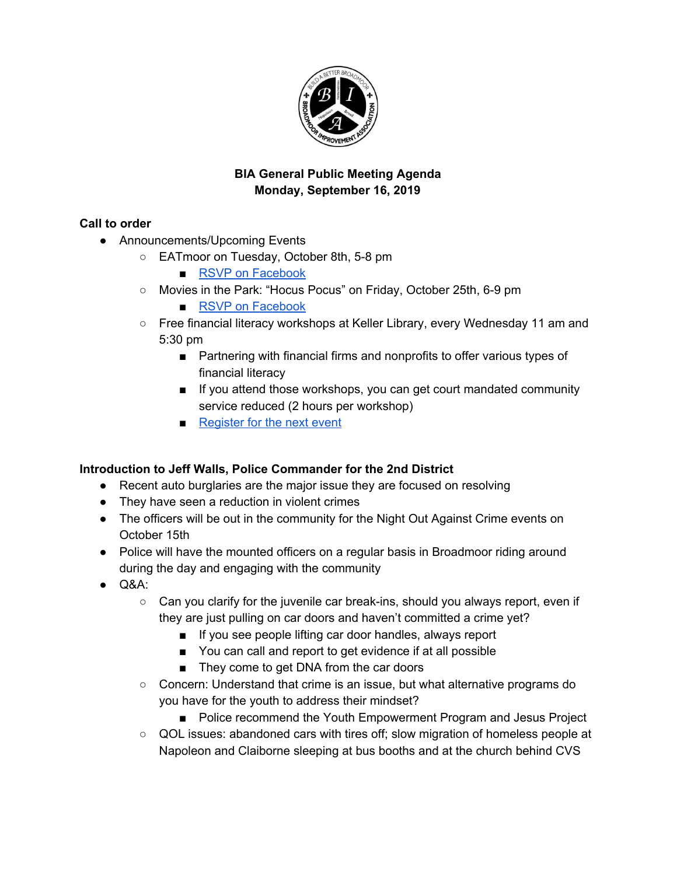

# **BIA General Public Meeting Agenda Monday, September 16, 2019**

# **Call to order**

- Announcements/Upcoming Events
	- EATmoor on Tuesday, October 8th, 5-8 pm
		- RSVP on [Facebook](https://www.facebook.com/events/483381399151314/)
	- Movies in the Park: "Hocus Pocus" on Friday, October 25th, 6-9 pm

■ RSVP on [Facebook](https://www.facebook.com/events/387278085319244/)

- Free financial literacy workshops at Keller Library, every Wednesday 11 am and 5:30 pm
	- Partnering with financial firms and nonprofits to offer various types of financial literacy
	- If you attend those workshops, you can get court mandated community service reduced (2 hours per workshop)
	- [Register](https://www.eventbrite.com/e/financial-empowerment-workshop-credit-scores-and-credit-cards-tickets-71094061251?aff=erelexpmlt) for the next event

## **Introduction to Jeff Walls, Police Commander for the 2nd District**

- Recent auto burglaries are the major issue they are focused on resolving
- They have seen a reduction in violent crimes
- The officers will be out in the community for the Night Out Against Crime events on October 15th
- Police will have the mounted officers on a regular basis in Broadmoor riding around during the day and engaging with the community
- $\bullet$  Q&A:
	- Can you clarify for the juvenile car break-ins, should you always report, even if they are just pulling on car doors and haven't committed a crime yet?
		- If you see people lifting car door handles, always report
		- You can call and report to get evidence if at all possible
		- They come to get DNA from the car doors
	- Concern: Understand that crime is an issue, but what alternative programs do you have for the youth to address their mindset?
		- Police recommend the Youth Empowerment Program and Jesus Project
	- QOL issues: abandoned cars with tires off; slow migration of homeless people at Napoleon and Claiborne sleeping at bus booths and at the church behind CVS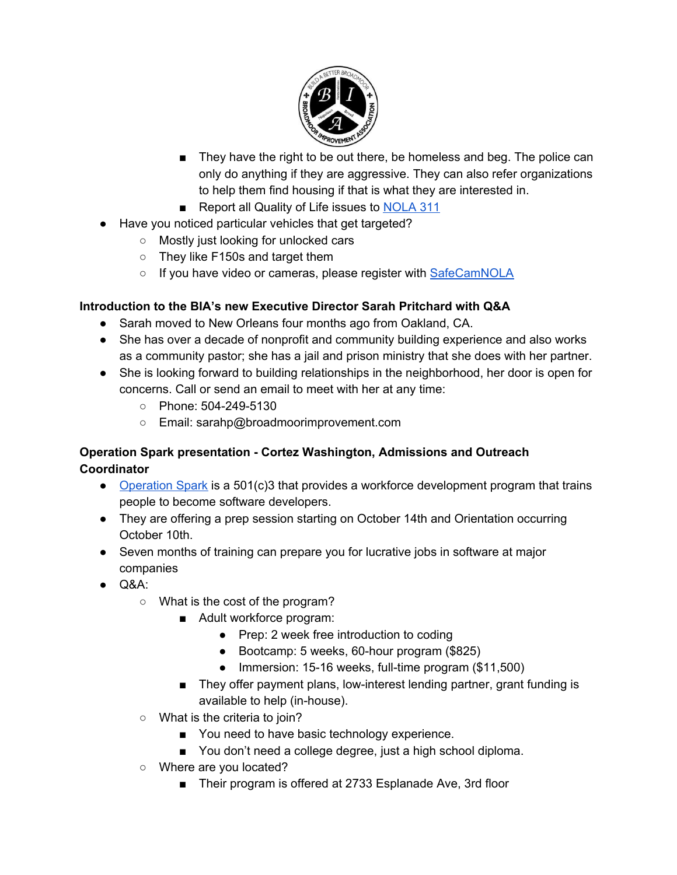

- They have the right to be out there, be homeless and beg. The police can only do anything if they are aggressive. They can also refer organizations to help them find housing if that is what they are interested in.
- Report all Quality of Life issues to [NOLA](https://nola311.org/) 311
- Have you noticed particular vehicles that get targeted?
	- Mostly just looking for unlocked cars
	- They like F150s and target them
	- o If you have video or cameras, please register with [SafeCamNOLA](https://www.safecamnola.com/)

## **Introduction to the BIA's new Executive Director Sarah Pritchard with Q&A**

- Sarah moved to New Orleans four months ago from Oakland, CA.
- She has over a decade of nonprofit and community building experience and also works as a community pastor; she has a jail and prison ministry that she does with her partner.
- She is looking forward to building relationships in the neighborhood, her door is open for concerns. Call or send an email to meet with her at any time:
	- Phone: 504-249-5130
	- Email: sarahp@broadmoorimprovement.com

## **Operation Spark presentation - Cortez Washington, Admissions and Outreach Coordinator**

- [Operation](https://operationspark.org/) Spark is a 501(c)3 that provides a workforce development program that trains people to become software developers.
- They are offering a prep session starting on October 14th and Orientation occurring October 10th.
- Seven months of training can prepare you for lucrative jobs in software at major companies
- $\bullet$  Q&A:
	- What is the cost of the program?
		- Adult workforce program:
			- Prep: 2 week free introduction to coding
			- Bootcamp: 5 weeks, 60-hour program (\$825)
			- Immersion: 15-16 weeks, full-time program (\$11,500)
		- They offer payment plans, low-interest lending partner, grant funding is available to help (in-house).
	- What is the criteria to join?
		- You need to have basic technology experience.
		- You don't need a college degree, just a high school diploma.
	- Where are you located?
		- Their program is offered at 2733 Esplanade Ave, 3rd floor